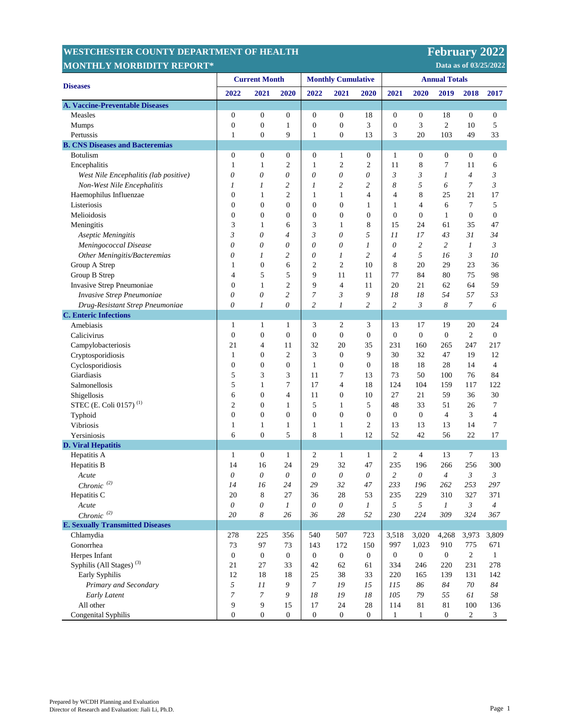## **WESTCHESTER COUNTY DEPARTMENT MONTHLY MORBIDITY REPORT\***

**February 2022** 

 **Data as of 03/25/2022** 

| <b>Diseases</b>                         | <b>Current Month</b> |                           |                  | <b>Monthly Cumulative</b> |                         |                  | <b>Annual Totals</b> |                  |                  |                          |                  |
|-----------------------------------------|----------------------|---------------------------|------------------|---------------------------|-------------------------|------------------|----------------------|------------------|------------------|--------------------------|------------------|
|                                         | 2022                 | 2021                      | 2020             | 2022                      | 2021                    | 2020             | 2021                 | 2020             | 2019             | 2018                     | 2017             |
| <b>A. Vaccine-Preventable Diseases</b>  |                      |                           |                  |                           |                         |                  |                      |                  |                  |                          |                  |
| Measles                                 | $\boldsymbol{0}$     | $\boldsymbol{0}$          | 0                | $\boldsymbol{0}$          | $\boldsymbol{0}$        | 18               | $\boldsymbol{0}$     | $\boldsymbol{0}$ | 18               | $\boldsymbol{0}$         | $\boldsymbol{0}$ |
| Mumps                                   | $\boldsymbol{0}$     | $\mathbf{0}$              | 1                | $\boldsymbol{0}$          | $\overline{0}$          | 3                | $\boldsymbol{0}$     | 3                | $\mathfrak{2}$   | 10                       | 5                |
| Pertussis                               | 1                    | $\boldsymbol{0}$          | 9                | $\mathbf{1}$              | $\boldsymbol{0}$        | 13               | 3                    | 20               | 103              | 49                       | 33               |
| <b>B. CNS Diseases and Bacteremias</b>  |                      |                           |                  |                           |                         |                  |                      |                  |                  |                          |                  |
| <b>Botulism</b>                         | $\boldsymbol{0}$     | $\boldsymbol{0}$          | $\boldsymbol{0}$ | $\boldsymbol{0}$          | 1                       | $\boldsymbol{0}$ | 1                    | $\boldsymbol{0}$ | $\boldsymbol{0}$ | $\boldsymbol{0}$         | $\boldsymbol{0}$ |
| Encephalitis                            | $\mathbf{1}$         | 1                         | 2                | $\mathbf{1}$              | $\overline{\mathbf{c}}$ | $\overline{2}$   | 11                   | 8                | 7                | 11                       | 6                |
| West Nile Encephalitis (lab positive)   | $\theta$             | 0                         | 0                | $\theta$                  | 0                       | 0                | $\mathfrak{Z}$       | 3                | 1                | $\overline{\mathcal{A}}$ | 3                |
| Non-West Nile Encephalitis              | 1                    | 1                         | 2                | 1                         | 2                       | $\overline{c}$   | 8                    | 5                | 6                | $\overline{7}$           | $\mathfrak{Z}$   |
| Haemophilus Influenzae                  | $\overline{0}$       | 1                         | $\overline{2}$   | 1                         | $\mathbf{1}$            | $\overline{4}$   | 4                    | 8                | 25               | 21                       | 17               |
| Listeriosis                             | $\mathbf{0}$         | $\overline{0}$            | $\mathbf{0}$     | $\boldsymbol{0}$          | $\mathbf{0}$            | $\mathbf{1}$     | 1                    | 4                | 6                | $\tau$                   | 5                |
| Melioidosis                             | $\mathbf{0}$         | $\boldsymbol{0}$          | $\boldsymbol{0}$ | $\boldsymbol{0}$          | $\boldsymbol{0}$        | $\mathbf{0}$     | $\boldsymbol{0}$     | $\boldsymbol{0}$ | $\mathbf{1}$     | $\boldsymbol{0}$         | $\boldsymbol{0}$ |
| Meningitis                              | 3                    | 1                         | 6                | 3                         | $\mathbf{1}$            | 8                | 15                   | 24               | 61               | 35                       | 47               |
| Aseptic Meningitis                      | $\mathfrak{Z}$       | 0                         | 4                | 3                         | 0                       | 5                | 11                   | 17               | 43               | 31                       | 34               |
| Meningococcal Disease                   | 0                    | $\theta$                  | 0                | 0                         | $\theta$                | 1                | $\theta$             | 2                | $\overline{c}$   | 1                        | 3                |
| Other Meningitis/Bacteremias            | 0                    | 1                         | 2                | 0                         | 1                       | $\overline{c}$   | $\overline{4}$       | 5                | 16               | 3                        | 10               |
| Group A Strep                           | 1                    | $\overline{0}$            | 6                | 2                         | 2                       | 10               | 8                    | 20               | 29               | 23                       | 36               |
| Group B Strep                           | 4                    | 5                         | 5                | 9                         | 11                      | 11               | 77                   | 84               | 80               | 75                       | 98               |
| Invasive Strep Pneumoniae               | $\boldsymbol{0}$     | $\mathbf{1}$              | $\mathfrak{2}$   | 9                         | $\overline{4}$          | 11               | 20                   | 21               | 62               | 64                       | 59               |
| Invasive Strep Pneumoniae               | $\theta$             | $\theta$                  | 2                | 7                         | 3                       | 9                | 18                   | 18               | 54               | 57                       | 53               |
| Drug-Resistant Strep Pneumoniae         | $\theta$             | 1                         | 0                | $\overline{c}$            | 1                       | $\overline{c}$   | $\overline{c}$       | 3                | 8                | 7                        | 6                |
| <b>C.</b> Enteric Infections            |                      |                           |                  |                           |                         |                  |                      |                  |                  |                          |                  |
| Amebiasis                               | 1                    | 1                         | 1                | 3                         | 2                       | 3                | 13                   | 17               | 19               | 20                       | 24               |
| Calicivirus                             | $\boldsymbol{0}$     | $\boldsymbol{0}$          | $\boldsymbol{0}$ | $\boldsymbol{0}$          | $\boldsymbol{0}$        | $\mathbf{0}$     | $\boldsymbol{0}$     | $\boldsymbol{0}$ | $\boldsymbol{0}$ | $\overline{c}$           | $\boldsymbol{0}$ |
| Campylobacteriosis                      | 21                   | 4                         | 11               | 32                        | 20                      | 35               | 231                  | 160              | 265              | 247                      | 217              |
| Cryptosporidiosis                       | $\mathbf{1}$         | $\boldsymbol{0}$          | $\overline{2}$   | 3                         | $\boldsymbol{0}$        | 9                | 30                   | 32               | 47               | 19                       | 12               |
| Cyclosporidiosis                        | $\boldsymbol{0}$     | 0                         | $\boldsymbol{0}$ | $\mathbf{1}$              | $\boldsymbol{0}$        | $\mathbf{0}$     | 18                   | 18               | 28               | 14                       | $\overline{4}$   |
| Giardiasis                              | 5                    | 3                         | 3                | 11                        | 7                       | 13               | 73                   | 50               | 100              | 76                       | 84               |
| Salmonellosis                           | 5                    | $\mathbf{1}$              | 7                | 17                        | 4                       | 18               | 124                  | 104              | 159              | 117                      | 122              |
| Shigellosis                             | 6                    | $\boldsymbol{0}$          | 4                | 11                        | $\boldsymbol{0}$        | 10               | 27                   | 21               | 59               | 36                       | 30               |
| STEC (E. Coli 0157) <sup>(1)</sup>      | $\overline{2}$       | $\overline{0}$            | 1                | 5                         | $\mathbf{1}$            | 5                | 48                   | 33               | 51               | 26                       | $\tau$           |
| Typhoid                                 | $\overline{0}$       | $\boldsymbol{0}$          | $\boldsymbol{0}$ | $\boldsymbol{0}$          | $\boldsymbol{0}$        | $\overline{0}$   | $\boldsymbol{0}$     | $\boldsymbol{0}$ | 4                | 3                        | 4                |
| Vibriosis                               | 1                    | $\mathbf{1}$              | 1                | 1                         | $\mathbf{1}$            | $\overline{2}$   | 13                   | 13               | 13               | 14                       | 7                |
| Yersiniosis                             | 6                    | $\overline{0}$            | 5                | 8                         | $\mathbf{1}$            | 12               | 52                   | 42               | 56               | 22                       | 17               |
| <b>D. Viral Hepatitis</b>               |                      |                           |                  |                           |                         |                  |                      |                  |                  |                          |                  |
| Hepatitis A                             | $\mathbf{1}$         | $\boldsymbol{0}$          | $\mathbf{1}$     | 2                         | $\mathbf{1}$            | $\mathbf{1}$     | 2                    | 4                | 13               | $\tau$                   | 13               |
| Hepatitis B                             | 14                   | 16                        | 24               | 29                        | 32                      | 47               | 235                  | 196              | 266              | 256                      | 300              |
| Acute                                   | $\theta$             | $\theta$                  | 0                | $\theta$                  | 0                       | $\theta$         | $\overline{c}$       | 0                | $\overline{4}$   | 3                        | 3                |
| Chronic $^{(2)}$                        | 14                   | 16                        | 24               | 29                        | 32                      | 47               | 233                  | 196              | 262              | 253                      | 297              |
| Hepatitis C                             | 20                   | 8                         | 27               | 36                        | 28                      | 53               | 235                  | 229              | 310              | 327                      | 371              |
| Acute                                   | $\mathcal O$         | $\boldsymbol{\mathit{0}}$ | $\boldsymbol{l}$ | $\boldsymbol{\theta}$     | $\mathcal O$            | $\mathfrak{1}$   | 5                    | $\sqrt{2}$       | $\boldsymbol{l}$ | 3                        | $\overline{4}$   |
| Chronic <sup>(2)</sup>                  | 20                   | 8                         | 26               | 36                        | $28\,$                  | 52               | 230                  | 224              | 309              | 324                      | 367              |
| <b>E. Sexually Transmitted Diseases</b> |                      |                           |                  |                           |                         |                  |                      |                  |                  |                          |                  |
| Chlamydia                               | 278                  | 225                       | 356              | 540                       | 507                     | 723              | 3,518                | 3,020            | 4,268            | 3,973                    | 3,809            |
| Gonorrhea                               | 73                   | 97                        | 73               | 143                       | 172                     | 150              | 997                  | 1,023            | 910              | 775                      | 671              |
| Herpes Infant                           | $\boldsymbol{0}$     | $\boldsymbol{0}$          | $\boldsymbol{0}$ | $\boldsymbol{0}$          | $\mathbf{0}$            | $\overline{0}$   | $\boldsymbol{0}$     | $\boldsymbol{0}$ | $\overline{0}$   | $\overline{2}$           | $\mathbf{1}$     |
| Syphilis (All Stages) <sup>(3)</sup>    | 21                   | 27                        | 33               | 42                        | 62                      | 61               | 334                  | 246              | 220              | 231                      | 278              |
| Early Syphilis                          | 12                   | 18                        | 18               | 25                        | 38                      | 33               | 220                  | 165              | 139              | 131                      | 142              |
| Primary and Secondary                   | $\sqrt{2}$           | 11                        | 9                | $\mathcal{I}$             | 19                      | 15               | 115                  | 86               | 84               | 70                       | 84               |
| Early Latent                            | $\overline{7}$       | $\overline{7}$            | 9                | $18\,$                    | 19                      | 18               | 105                  | 79               | 55               | 61                       | 58               |
| All other                               | 9                    | 9                         | 15               | 17                        | 24                      | 28               | 114                  | 81               | 81               | 100                      | 136              |
| Congenital Syphilis                     | $\boldsymbol{0}$     | $\boldsymbol{0}$          | $\boldsymbol{0}$ | $\boldsymbol{0}$          | $\boldsymbol{0}$        | $\boldsymbol{0}$ | 1                    | $\mathbf{1}$     | $\boldsymbol{0}$ | $\sqrt{2}$               | $\mathfrak{Z}$   |